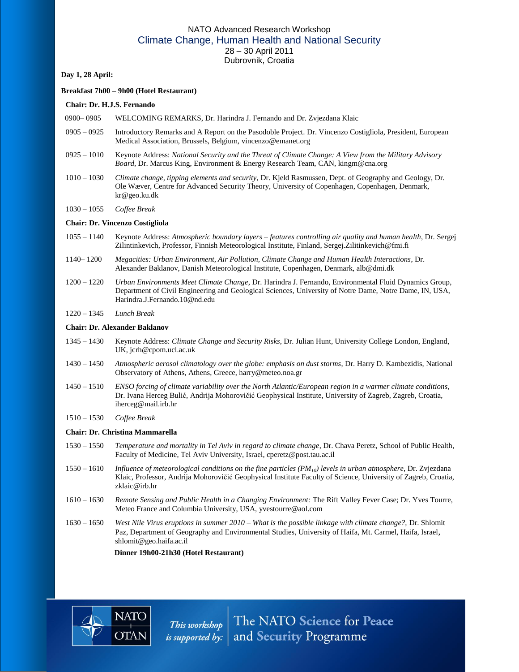# NATO Advanced Research Workshop Climate Change, Human Health and National Security 28 – 30 April 2011 Dubrovnik, Croatia

#### **Day 1, 28 April:**

#### **Breakfast 7h00 – 9h00 (Hotel Restaurant)**

#### **Chair: Dr. H.J.S. Fernando**

- 0900– 0905 WELCOMING REMARKS, Dr. Harindra J. Fernando and Dr. Zvjezdana Klaic
- 0905 0925 Introductory Remarks and A Report on the Pasodoble Project. Dr. Vincenzo Costigliola, President, European Medical Association, Brussels, Belgium, vincenzo@emanet.org
- 0925 1010 Keynote Address: *National Security and the Threat of Climate Change: A View from the Military Advisory Board*, Dr. Marcus King, Environment & Energy Research Team, CAN, kingm@cna.org
- 1010 1030 *Climate change, tipping elements and security*, Dr. Kjeld Rasmussen, Dept. of Geography and Geology, Dr. Ole Wæver, Centre for Advanced Security Theory, University of Copenhagen, Copenhagen, Denmark, kr@geo.ku.dk
- 1030 1055 *Coffee Break*

#### **Chair: Dr. Vincenzo Costigliola**

- 1055 1140 Keynote Address: *Atmospheric boundary layers – features controlling air quality and human health*, Dr. Sergej Zilintinkevich, Professor, Finnish Meteorological Institute, Finland[, Sergej.Zilitinkevich@fmi.](mailto:Sergej.Zilitinkevich@fmi)fi
- 1140– 1200 *Megacities: Urban Environment, Air Pollution, Climate Change and Human Health Interactions*, Dr. Alexander Baklanov, Danish Meteorological Institute, Copenhagen, Denmark, alb@dmi.dk
- 1200 1220 *Urban Environments Meet Climate Change*, Dr. Harindra J. Fernando, Environmental Fluid Dynamics Group, Department of Civil Engineering and Geological Sciences, University of Notre Dame, Notre Dame, IN, USA, Harindra.J.Fernando.10@nd.edu
- 1220 1345 *Lunch Break*

## **Chair: Dr. Alexander Baklanov**

- 1345 1430 Keynote Address: *Climate Change and Security Risks*, Dr. Julian Hunt, University College London, England, UK, jcrh@cpom.ucl.ac.uk
- 1430 1450 *Atmospheric aerosol climatology over the globe: emphasis on dust storms*, Dr. Harry D. Kambezidis, National Observatory of Athens, Athens, Greece, harry@meteo.noa.gr
- 1450 1510 *ENSO forcing of climate variability over the North Atlantic/European region in a warmer climate conditions*, Dr. Ivana Herceg Bulić, Andrija Mohorovičić Geophysical Institute, University of Zagreb, Zagreb, Croatia, iherceg@mail.irb.hr
- 1510 1530 *Coffee Break*

#### **Chair: Dr. Christina Mammarella**

- 1530 1550 *Temperature and mortality in Tel Aviv in regard to climate change*, Dr. Chava Peretz, School of Public Health, Faculty of Medicine, Tel Aviv University, Israel, cperetz@post.tau.ac.il
- 1550 1610 *Influence of meteorological conditions on the fine particles (PM10) levels in urban atmosphere*, Dr. Zvjezdana Klaic, Professor, Andrija Mohorovičić Geophysical Institute Faculty of Science, University of Zagreb, Croatia, zklaic@irb.hr
- 1610 1630 *Remote Sensing and Public Health in a Changing Environment:* The Rift Valley Fever Case; Dr. Yves Tourre, Meteo France and Columbia University, USA, yvestourre@aol.com
- 1630 1650 *West Nile Virus eruptions in summer 2010 – What is the possible linkage with climate change?,* Dr. Shlomit Paz, Department of Geography and Environmental Studies, University of Haifa, Mt. Carmel, Haifa, Israel, [shlomit@geo.haifa.ac.il](mailto:shlomit@geo.haifa.ac.il)

 **Dinner 19h00-21h30 (Hotel Restaurant)**

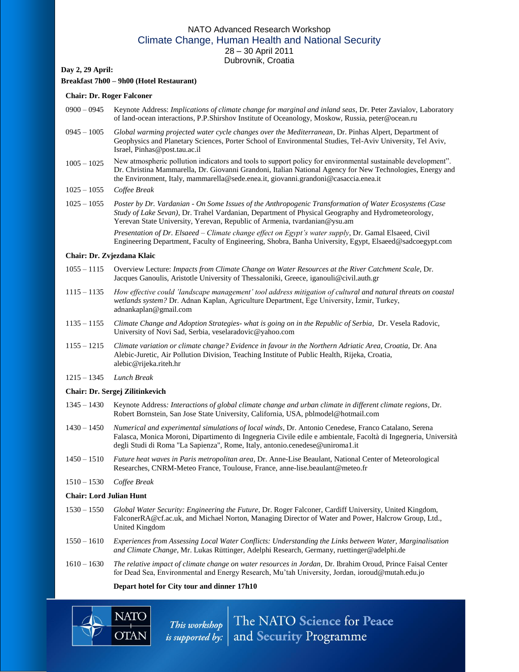# NATO Advanced Research Workshop Climate Change, Human Health and National Security 28 – 30 April 2011 Dubrovnik, Croatia

## **Day 2, 29 April:**

# **Breakfast 7h00 – 9h00 (Hotel Restaurant)**

#### **Chair: Dr. Roger Falconer**

- 0900 0945 Keynote Address: *Implications of climate change for marginal and inland seas*, Dr. Peter Zavialov, Laboratory of land-ocean interactions, P.P.Shirshov Institute of Oceanology, Moskow, Russia, peter@ocean.ru
- 0945 1005 *Global warming projected water cycle changes over the Mediterranean*, Dr. Pinhas Alpert, Department of Geophysics and Planetary Sciences, Porter School of Environmental Studies, Tel-Aviv University, Tel Aviv, Israel, Pinhas@post.tau.ac.il
- 1005 1025 New atmospheric pollution indicators and tools to support policy for environmental sustainable development". Dr. Christina Mammarella, Dr. Giovanni Grandoni, Italian National Agency for New Technologies, Energy and the Environment, Italy, mammarella@sede.enea.it, giovanni.grandoni@casaccia.enea.it
- 1025 1055 *Coffee Break*
- 1025 1055 *Poster by Dr. Vardanian - On Some Issues of the Anthropogenic Transformation of Water Ecosystems (Case Study of Lake Sevan)*, Dr. Trahel Vardanian, Department of Physical Geography and Hydrometeorology, Yerevan State University, Yerevan, Republic of Armenia, [tvardanian@ysu.am](mailto:tvardanian@ysu.am)

*Presentation of Dr. Elsaeed – Climate change effect on Egypt's water supply*, Dr. Gamal Elsaeed, Civil Engineering Department, Faculty of Engineering, Shobra, Banha University, Egypt, Elsaeed@sadcoegypt.com

#### **Chair: Dr. Zvjezdana Klaic**

- 1055 1115 Overview Lecture: *Impacts from Climate Change on Water Resources at the River Catchment Scale*, Dr. Jacques Ganoulis, Aristotle University of Thessaloniki, Greece, iganouli@civil.auth.gr
- 1115 1135 *How effective could 'landscape management' tool address mitigation of cultural and natural threats on coastal wetlands system?* Dr. Adnan Kaplan, Agriculture Department, Ege University, İzmir, Turkey, adnankaplan@gmail.com
- 1135 1155 *Climate Change and Adoption Strategies- what is going on in the Republic of Serbia*, Dr. Vesela Radovic, University of Novi Sad, Serbia, veselaradovic@yahoo.com
- 1155 1215 *Climate variation or climate change? Evidence in favour in the Northern Adriatic Area, Croatia,* Dr. Ana Alebic-Juretic, Air Pollution Division, Teaching Institute of Public Health, Rijeka, Croatia, alebic@rijeka.riteh.hr
- 1215 1345 *Lunch Break*

#### **Chair: Dr. Sergej Zilitinkevich**

- 1345 1430 Keynote Address*: Interactions of global climate change and urban climate in different climate regions*, Dr. Robert Bornstein, San Jose State University, California, USA, pblmodel@hotmail.com
- 1430 1450 *Numerical and experimental simulations of local winds*, Dr. Antonio Cenedese, Franco Catalano, Serena Falasca, Monica Moroni, Dipartimento di Ingegneria Civile edile e ambientale, Facoltà di Ingegneria, Università degli Studi di Roma "La Sapienza", Rome, Italy, antonio.cenedese@uniroma1.it
- 1450 1510 *Future heat waves in Paris metropolitan area*, Dr. Anne-Lise Beaulant, National Center of Meteorological Researches, CNRM-Meteo France, Toulouse, France, anne-lise.beaulant@meteo.fr
- 1510 1530 *Coffee Break*

#### **Chair: Lord Julian Hunt**

- 1530 1550 *Global Water Security: Engineering the Future*, Dr. Roger Falconer, Cardiff University, United Kingdom, FalconerRA@cf.ac.uk, and Michael Norton, Managing Director of Water and Power, Halcrow Group, Ltd., United Kingdom
- 1550 1610 *Experiences from Assessing Local Water Conflicts: Understanding the Links between Water, Marginalisation and Climate Change*, Mr. Lukas Rüttinger, Adelphi Research, Germany, ruettinger@adelphi.de
- 1610 1630 *The relative impact of climate change on water resources in Jordan,* Dr. Ibrahim Oroud, Prince Faisal Center for Dead Sea, Environmental and Energy Research, Mu'tah University, Jordan, ioroud@mutah.edu.jo

#### **Depart hotel for City tour and dinner 17h10**



This workshop The NATO Science for Peace<br>is supported by: and Security Programme